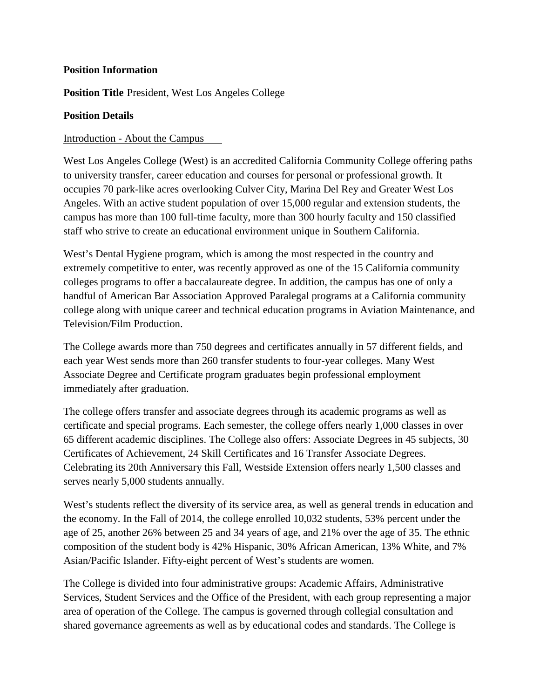## **Position Information**

**Position Title** President, West Los Angeles College

### **Position Details**

## Introduction - About the Campus

West Los Angeles College (West) is an accredited California Community College offering paths to university transfer, career education and courses for personal or professional growth. It occupies 70 park-like acres overlooking Culver City, Marina Del Rey and Greater West Los Angeles. With an active student population of over 15,000 regular and extension students, the campus has more than 100 full-time faculty, more than 300 hourly faculty and 150 classified staff who strive to create an educational environment unique in Southern California.

West's Dental Hygiene program, which is among the most respected in the country and extremely competitive to enter, was recently approved as one of the 15 California community colleges programs to offer a baccalaureate degree. In addition, the campus has one of only a handful of American Bar Association Approved Paralegal programs at a California community college along with unique career and technical education programs in Aviation Maintenance, and Television/Film Production.

The College awards more than 750 degrees and certificates annually in 57 different fields, and each year West sends more than 260 transfer students to four-year colleges. Many West Associate Degree and Certificate program graduates begin professional employment immediately after graduation.

The college offers transfer and associate degrees through its academic programs as well as certificate and special programs. Each semester, the college offers nearly 1,000 classes in over 65 different academic disciplines. The College also offers: Associate Degrees in 45 subjects, 30 Certificates of Achievement, 24 Skill Certificates and 16 Transfer Associate Degrees. Celebrating its 20th Anniversary this Fall, Westside Extension offers nearly 1,500 classes and serves nearly 5,000 students annually.

West's students reflect the diversity of its service area, as well as general trends in education and the economy. In the Fall of 2014, the college enrolled 10,032 students, 53% percent under the age of 25, another 26% between 25 and 34 years of age, and 21% over the age of 35. The ethnic composition of the student body is 42% Hispanic, 30% African American, 13% White, and 7% Asian/Pacific Islander. Fifty-eight percent of West's students are women.

The College is divided into four administrative groups: Academic Affairs, Administrative Services, Student Services and the Office of the President, with each group representing a major area of operation of the College. The campus is governed through collegial consultation and shared governance agreements as well as by educational codes and standards. The College is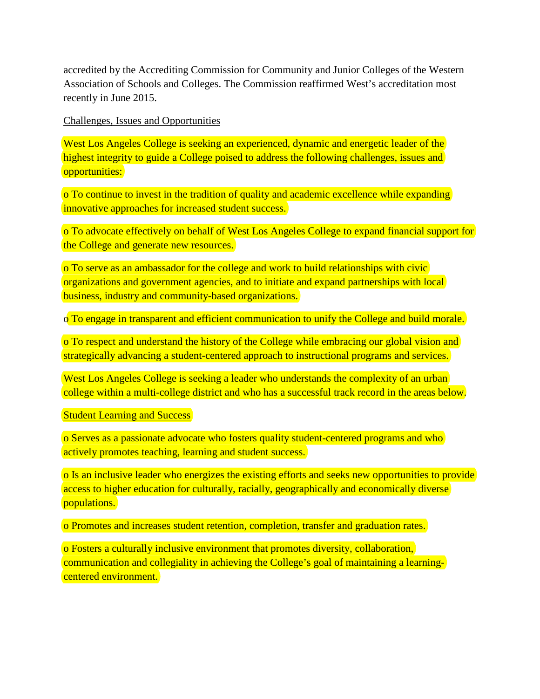accredited by the Accrediting Commission for Community and Junior Colleges of the Western Association of Schools and Colleges. The Commission reaffirmed West's accreditation most recently in June 2015.

Challenges, Issues and Opportunities

West Los Angeles College is seeking an experienced, dynamic and energetic leader of the highest integrity to guide a College poised to address the following challenges, issues and opportunities:

o To continue to invest in the tradition of quality and academic excellence while expanding innovative approaches for increased student success.

o To advocate effectively on behalf of West Los Angeles College to expand financial support for the College and generate new resources.

o To serve as an ambassador for the college and work to build relationships with civic organizations and government agencies, and to initiate and expand partnerships with local business, industry and community-based organizations.

o To engage in transparent and efficient communication to unify the College and build morale.

o To respect and understand the history of the College while embracing our global vision and strategically advancing a student-centered approach to instructional programs and services.

West Los Angeles College is seeking a leader who understands the complexity of an urban college within a multi-college district and who has a successful track record in the areas below.

Student Learning and Success

o Serves as a passionate advocate who fosters quality student-centered programs and who actively promotes teaching, learning and student success.

o Is an inclusive leader who energizes the existing efforts and seeks new opportunities to provide access to higher education for culturally, racially, geographically and economically diverse populations.

o Promotes and increases student retention, completion, transfer and graduation rates.

o Fosters a culturally inclusive environment that promotes diversity, collaboration, communication and collegiality in achieving the College's goal of maintaining a learningcentered environment.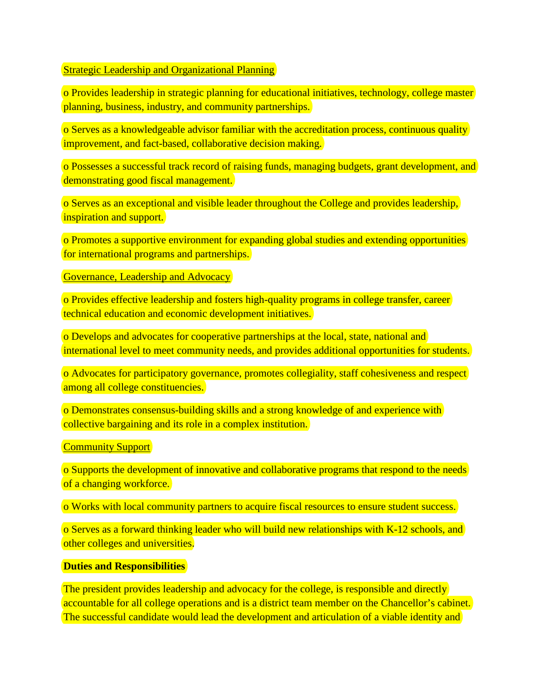#### Strategic Leadership and Organizational Planning

o Provides leadership in strategic planning for educational initiatives, technology, college master planning, business, industry, and community partnerships.

o Serves as a knowledgeable advisor familiar with the accreditation process, continuous quality improvement, and fact-based, collaborative decision making.

o Possesses a successful track record of raising funds, managing budgets, grant development, and demonstrating good fiscal management.

o Serves as an exceptional and visible leader throughout the College and provides leadership, inspiration and support.

o Promotes a supportive environment for expanding global studies and extending opportunities for international programs and partnerships.

Governance, Leadership and Advocacy

o Provides effective leadership and fosters high-quality programs in college transfer, career technical education and economic development initiatives.

o Develops and advocates for cooperative partnerships at the local, state, national and international level to meet community needs, and provides additional opportunities for students.

o Advocates for participatory governance, promotes collegiality, staff cohesiveness and respect among all college constituencies.

o Demonstrates consensus-building skills and a strong knowledge of and experience with collective bargaining and its role in a complex institution.

**Community Support** 

o Supports the development of innovative and collaborative programs that respond to the needs of a changing workforce.

o Works with local community partners to acquire fiscal resources to ensure student success.

o Serves as a forward thinking leader who will build new relationships with K-12 schools, and other colleges and universities.

#### **Duties and Responsibilities**

The president provides leadership and advocacy for the college, is responsible and directly accountable for all college operations and is a district team member on the Chancellor's cabinet. The successful candidate would lead the development and articulation of a viable identity and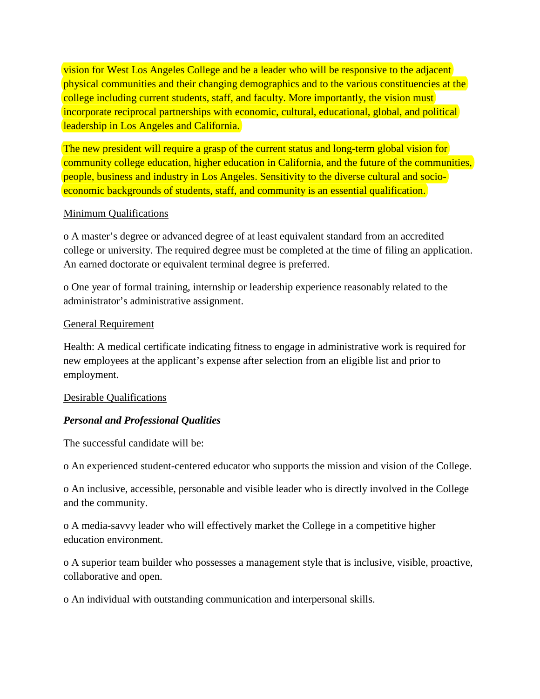vision for West Los Angeles College and be a leader who will be responsive to the adjacent physical communities and their changing demographics and to the various constituencies at the college including current students, staff, and faculty. More importantly, the vision must incorporate reciprocal partnerships with economic, cultural, educational, global, and political leadership in Los Angeles and California.

The new president will require a grasp of the current status and long-term global vision for community college education, higher education in California, and the future of the communities, people, business and industry in Los Angeles. Sensitivity to the diverse cultural and socioeconomic backgrounds of students, staff, and community is an essential qualification.

## Minimum Qualifications

o A master's degree or advanced degree of at least equivalent standard from an accredited college or university. The required degree must be completed at the time of filing an application. An earned doctorate or equivalent terminal degree is preferred.

o One year of formal training, internship or leadership experience reasonably related to the administrator's administrative assignment.

## General Requirement

Health: A medical certificate indicating fitness to engage in administrative work is required for new employees at the applicant's expense after selection from an eligible list and prior to employment.

# Desirable Qualifications

# *Personal and Professional Qualities*

The successful candidate will be:

o An experienced student-centered educator who supports the mission and vision of the College.

o An inclusive, accessible, personable and visible leader who is directly involved in the College and the community.

o A media-savvy leader who will effectively market the College in a competitive higher education environment.

o A superior team builder who possesses a management style that is inclusive, visible, proactive, collaborative and open.

o An individual with outstanding communication and interpersonal skills.